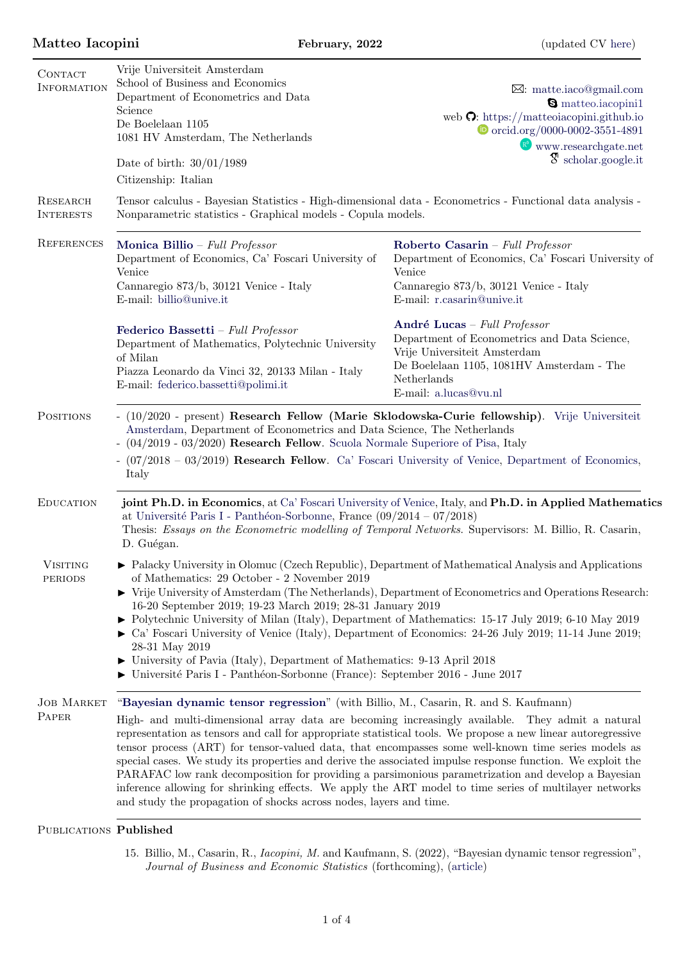| CONTACT<br><b>INFORMATION</b><br><b>RESEARCH</b><br><b>INTERESTS</b> | Vrije Universiteit Amsterdam<br>School of Business and Economics<br>Department of Econometrics and Data<br>Science<br>De Boelelaan 1105<br>1081 HV Amsterdam, The Netherlands<br>Date of birth: $30/01/1989$<br>Citizenship: Italian<br>Tensor calculus - Bayesian Statistics - High-dimensional data - Econometrics - Functional data analysis -<br>Nonparametric statistics - Graphical models - Copula models.                                                                                                                                                                                                                                                                                                                                                                                                  | $\boxtimes:$ matte.iaco@gmail.com<br><b>S</b> matteo.iacopini1<br>web $\Omega$ : https://matteoiacopini.github.io<br>$\bullet$ orcid.org/0000-0002-3551-4891<br>$\mathbb{R}^3$ www.researchgate.net<br>$\mathfrak{F}$ scholar.google.it |
|----------------------------------------------------------------------|--------------------------------------------------------------------------------------------------------------------------------------------------------------------------------------------------------------------------------------------------------------------------------------------------------------------------------------------------------------------------------------------------------------------------------------------------------------------------------------------------------------------------------------------------------------------------------------------------------------------------------------------------------------------------------------------------------------------------------------------------------------------------------------------------------------------|-----------------------------------------------------------------------------------------------------------------------------------------------------------------------------------------------------------------------------------------|
| <b>REFERENCES</b>                                                    | Monica Billio – Full Professor<br>Department of Economics, Ca' Foscari University of<br>Venice<br>Cannaregio 873/b, 30121 Venice - Italy<br>E-mail: billio@unive.it                                                                                                                                                                                                                                                                                                                                                                                                                                                                                                                                                                                                                                                | Roberto Casarin - Full Professor<br>Department of Economics, Ca' Foscari University of<br>Venice<br>Cannaregio 873/b, 30121 Venice - Italy<br>E-mail: r.casarin@unive.it                                                                |
|                                                                      | Federico Bassetti - Full Professor<br>Department of Mathematics, Polytechnic University<br>of Milan<br>Piazza Leonardo da Vinci 32, 20133 Milan - Italy<br>E-mail: federico.bassetti@polimi.it                                                                                                                                                                                                                                                                                                                                                                                                                                                                                                                                                                                                                     | André Lucas - Full Professor<br>Department of Econometrics and Data Science,<br>Vrije Universiteit Amsterdam<br>De Boelelaan 1105, 1081HV Amsterdam - The<br>Netherlands<br>E-mail: a.lucas@vu.nl                                       |
| <b>POSITIONS</b>                                                     | - (10/2020 - present) Research Fellow (Marie Sklodowska-Curie fellowship). Vrije Universiteit<br>Amsterdam, Department of Econometrics and Data Science, The Netherlands<br>- $(04/2019 - 03/2020)$ Research Fellow. Scuola Normale Superiore of Pisa, Italy<br>- $(07/2018 - 03/2019)$ Research Fellow. Ca' Foscari University of Venice, Department of Economics,<br>Italy                                                                                                                                                                                                                                                                                                                                                                                                                                       |                                                                                                                                                                                                                                         |
| <b>EDUCATION</b>                                                     | joint Ph.D. in Economics, at Ca' Foscari University of Venice, Italy, and Ph.D. in Applied Mathematics<br>at Université Paris I - Panthéon-Sorbonne, France $(09/2014 - 07/2018)$<br>Thesis: Essays on the Econometric modelling of Temporal Networks. Supervisors: M. Billio, R. Casarin,<br>D. Guégan.                                                                                                                                                                                                                                                                                                                                                                                                                                                                                                           |                                                                                                                                                                                                                                         |
| <b>VISITING</b><br><b>PERIODS</b>                                    | $\triangleright$ Palacky University in Olomuc (Czech Republic), Department of Mathematical Analysis and Applications<br>of Mathematics: 29 October - 2 November 2019<br>$\triangleright$ Vrije University of Amsterdam (The Netherlands), Department of Econometrics and Operations Research:<br>16-20 September 2019; 19-23 March 2019; 28-31 January 2019<br>• Polytechnic University of Milan (Italy), Department of Mathematics: 15-17 July 2019; 6-10 May 2019<br>$\triangleright$ Ca' Foscari University of Venice (Italy), Department of Economics: 24-26 July 2019; 11-14 June 2019;<br>28-31 May 2019<br>University of Pavia (Italy), Department of Mathematics: 9-13 April 2018<br>• Université Paris I - Panthéon-Sorbonne (France): September 2016 - June 2017                                         |                                                                                                                                                                                                                                         |
| <b>JOB MARKET</b><br>PAPER                                           | "Bayesian dynamic tensor regression" (with Billio, M., Casarin, R. and S. Kaufmann)<br>High- and multi-dimensional array data are becoming increasingly available. They admit a natural<br>representation as tensors and call for appropriate statistical tools. We propose a new linear autoregressive<br>tensor process (ART) for tensor-valued data, that encompasses some well-known time series models as<br>special cases. We study its properties and derive the associated impulse response function. We exploit the<br>PARAFAC low rank decomposition for providing a parsimonious parametrization and develop a Bayesian<br>inference allowing for shrinking effects. We apply the ART model to time series of multilayer networks<br>and study the propagation of shocks across nodes, layers and time. |                                                                                                                                                                                                                                         |

# PUBLICATIONS Published

15. Billio, M., Casarin, R., Iacopini, M. and Kaufmann, S. (2022), "Bayesian dynamic tensor regression", Journal of Business and Economic Statistics (forthcoming), [\(article\)](https://doi.org/10.1080/07350015.2022.2032721)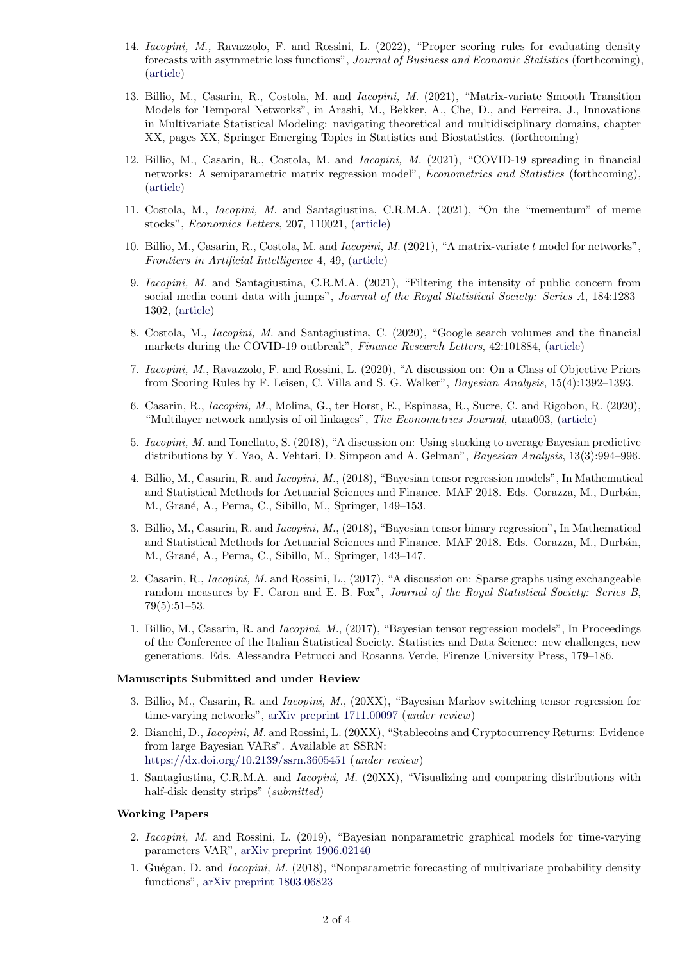- 14. Iacopini, M., Ravazzolo, F. and Rossini, L. (2022), "Proper scoring rules for evaluating density forecasts with asymmetric loss functions", Journal of Business and Economic Statistics (forthcoming), [\(article\)](https://doi.org/10.1080/07350015.2022.2035229)
- 13. Billio, M., Casarin, R., Costola, M. and Iacopini, M. (2021), "Matrix-variate Smooth Transition Models for Temporal Networks", in Arashi, M., Bekker, A., Che, D., and Ferreira, J., Innovations in Multivariate Statistical Modeling: navigating theoretical and multidisciplinary domains, chapter XX, pages XX, Springer Emerging Topics in Statistics and Biostatistics. (forthcoming)
- 12. Billio, M., Casarin, R., Costola, M. and Iacopini, M. (2021), "COVID-19 spreading in financial networks: A semiparametric matrix regression model", *Econometrics and Statistics* (forthcoming), [\(article\)](https://doi.org/10.1016/j.ecosta.2021.10.003)
- 11. Costola, M., Iacopini, M. and Santagiustina, C.R.M.A. (2021), "On the "mementum" of meme stocks", Economics Letters, 207, 110021, [\(article\)](https://doi.org/10.1016/j.econlet.2021.110021)
- 10. Billio, M., Casarin, R., Costola, M. and Iacopini, M. (2021), "A matrix-variate t model for networks", Frontiers in Artificial Intelligence 4, 49, [\(article\)](https://doi.org/10.3389/frai.2021.674166)
- 9. Iacopini, M. and Santagiustina, C.R.M.A. (2021), "Filtering the intensity of public concern from social media count data with jumps", Journal of the Royal Statistical Society: Series A, 184:1283– 1302, [\(article\)](https://rss.onlinelibrary.wiley.com/doi/pdf/10.1111/rssa.12704)
- 8. Costola, M., Iacopini, M. and Santagiustina, C. (2020), "Google search volumes and the financial markets during the COVID-19 outbreak", Finance Research Letters, 42:101884, [\(article\)](https://doi.org/10.1016/j.frl.2020.101884)
- 7. Iacopini, M., Ravazzolo, F. and Rossini, L. (2020), "A discussion on: On a Class of Objective Priors from Scoring Rules by F. Leisen, C. Villa and S. G. Walker", Bayesian Analysis, 15(4):1392–1393.
- 6. Casarin, R., Iacopini, M., Molina, G., ter Horst, E., Espinasa, R., Sucre, C. and Rigobon, R. (2020), "Multilayer network analysis of oil linkages", The Econometrics Journal, utaa003, [\(article\)](https://doi.org/10.1093/ectj/utaa003)
- 5. Iacopini, M. and Tonellato, S. (2018), "A discussion on: Using stacking to average Bayesian predictive distributions by Y. Yao, A. Vehtari, D. Simpson and A. Gelman", Bayesian Analysis, 13(3):994–996.
- 4. Billio, M., Casarin, R. and Iacopini, M., (2018), "Bayesian tensor regression models", In Mathematical and Statistical Methods for Actuarial Sciences and Finance. MAF 2018. Eds. Corazza, M., Durbán, M., Grané, A., Perna, C., Sibillo, M., Springer, 149–153.
- 3. Billio, M., Casarin, R. and Iacopini, M., (2018), "Bayesian tensor binary regression", In Mathematical and Statistical Methods for Actuarial Sciences and Finance. MAF 2018. Eds. Corazza, M., Durbán, M., Grané, A., Perna, C., Sibillo, M., Springer, 143-147.
- 2. Casarin, R., Iacopini, M. and Rossini, L., (2017), "A discussion on: Sparse graphs using exchangeable random measures by F. Caron and E. B. Fox", Journal of the Royal Statistical Society: Series B, 79(5):51–53.
- 1. Billio, M., Casarin, R. and Iacopini, M., (2017), "Bayesian tensor regression models", In Proceedings of the Conference of the Italian Statistical Society. Statistics and Data Science: new challenges, new generations. Eds. Alessandra Petrucci and Rosanna Verde, Firenze University Press, 179–186.

#### Manuscripts Submitted and under Review

- 3. Billio, M., Casarin, R. and Iacopini, M., (20XX), "Bayesian Markov switching tensor regression for time-varying networks", [arXiv preprint 1711.00097](https://arxiv.org/abs/1711.00097) (under review)
- 2. Bianchi, D., Iacopini, M. and Rossini, L. (20XX), "Stablecoins and Cryptocurrency Returns: Evidence from large Bayesian VARs". Available at SSRN: <https://dx.doi.org/10.2139/ssrn.3605451> (under review)
- 1. Santagiustina, C.R.M.A. and Iacopini, M. (20XX), "Visualizing and comparing distributions with half-disk density strips" (submitted)

#### Working Papers

- 2. Iacopini, M. and Rossini, L. (2019), "Bayesian nonparametric graphical models for time-varying parameters VAR", [arXiv preprint 1906.02140](https://arxiv.org/abs/1906.02140)
- 1. Guégan, D. and *Iacopini, M.* (2018), "Nonparametric forecasting of multivariate probability density functions", [arXiv preprint 1803.06823](https://arxiv.org/abs/1803.06823)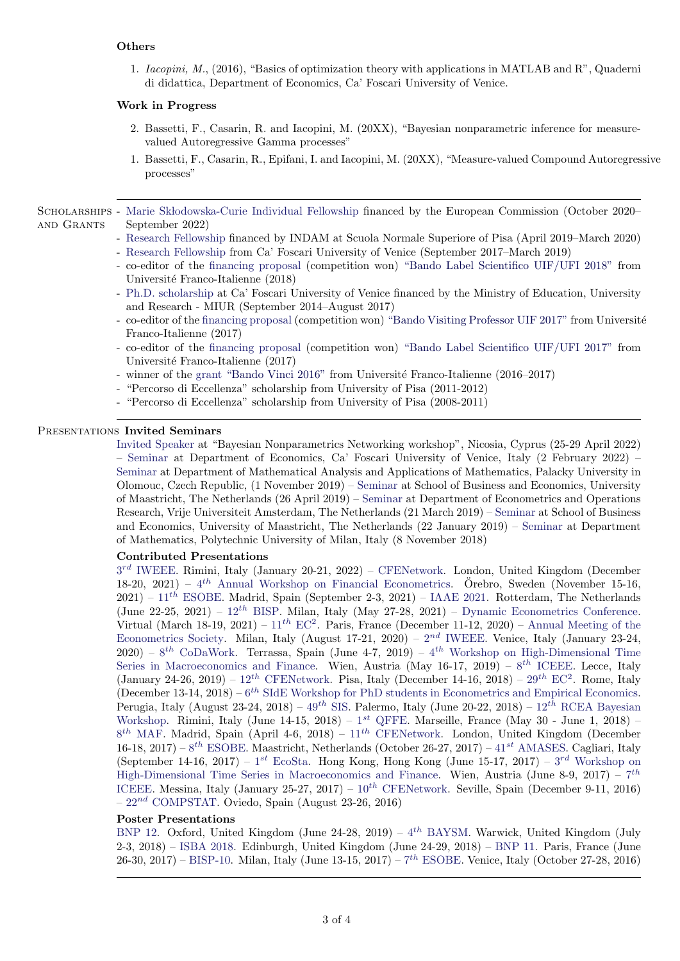## Others

1. Iacopini, M., (2016), "Basics of optimization theory with applications in MATLAB and R", Quaderni di didattica, Department of Economics, Ca' Foscari University of Venice.

## Work in Progress

- 2. Bassetti, F., Casarin, R. and Iacopini, M. (20XX), "Bayesian nonparametric inference for measurevalued Autoregressive Gamma processes"
- 1. Bassetti, F., Casarin, R., Epifani, I. and Iacopini, M. (20XX), "Measure-valued Compound Autoregressive processes"

SCHOLARSHIPS - Marie Skłodowska-Curie Individual Fellowship financed by the European Commission (October 2020– and Grants September 2022)

- Research Fellowship financed by INDAM at Scuola Normale Superiore of Pisa (April 2019–March 2020)
- Research Fellowship from Ca' Foscari University of Venice (September 2017–March 2019)
- co-editor of the financing proposal (competition won) ["Bando Label Scientifico UIF/UFI 2018"](https://www.universite-franco-italienne.org/menu-principal/bandi/label-scientifico-uif-ufi/) from Université Franco-Italienne (2018)
- Ph.D. scholarship at Ca' Foscari University of Venice financed by the Ministry of Education, University and Research - MIUR (September 2014–August 2017)
- co-editor of the financing proposal (competition won) ["Bando Visiting Professor UIF 2017"](https://www.universite-franco-italienne.org/menu-principal/bandi/programma-visiting-professor/bando-2017/) from Universit´e Franco-Italienne (2017)
- co-editor of the financing proposal (competition won) ["Bando Label Scientifico UIF/UFI 2017"](https://www.universite-franco-italienne.org/menu-principal/bandi/label-scientifico-uif-ufi/) from Université Franco-Italienne (2017)
- winner of the grant ["Bando Vinci 2016"](https://www.universite-franco-italienne.org/menu-principal/bandi/programma-vinci/) from Université Franco-Italienne (2016–2017)
- "Percorso di Eccellenza" scholarship from University of Pisa (2011-2012)
- "Percorso di Eccellenza" scholarship from University of Pisa (2008-2011)

## PRESENTATIONS Invited Seminars

Invited Speaker at "Bayesian Nonparametrics Networking workshop", Nicosia, Cyprus (25-29 April 2022) – Seminar at Department of Economics, Ca' Foscari University of Venice, Italy (2 February 2022) – Seminar at Department of Mathematical Analysis and Applications of Mathematics, Palacky University in Olomouc, Czech Republic, (1 November 2019) – Seminar at School of Business and Economics, University of Maastricht, The Netherlands (26 April 2019) – Seminar at Department of Econometrics and Operations Research, Vrije Universiteit Amsterdam, The Netherlands (21 March 2019) – Seminar at School of Business and Economics, University of Maastricht, The Netherlands (22 January 2019) – Seminar at Department of Mathematics, Polytechnic University of Milan, Italy (8 November 2018)

## Contributed Presentations

 $3^{rd}$  IWEEE. Rimini, Italy (January 20-21, 2022) – CFENetwork. London, United Kingdom (December 18-20, 2021) –  $4^{th}$  Annual Workshop on Financial Econometrics. Örebro, Sweden (November 15-16,  $2021$ ) –  $11^{th}$  ESOBE. Madrid, Spain (September 2-3, 2021) – IAAE 2021. Rotterdam, The Netherlands (June 22-25, 2021) –  $12^{th}$  BISP. Milan, Italy (May 27-28, 2021) – Dynamic Econometrics Conference. Virtual (March 18-19, 2021) –  $11^{th}$  EC<sup>2</sup>. Paris, France (December 11-12, 2020) – Annual Meeting of the Econometrics Society. Milan, Italy (August 17-21, 2020) –  $2^{nd}$  IWEEE. Venice, Italy (January 23-24,  $2020 - 8$ <sup>th</sup> CoDaWork. Terrassa, Spain (June 4-7, 2019) – 4<sup>th</sup> Workshop on High-Dimensional Time Series in Macroeconomics and Finance. Wien, Austria (May  $16-17$ ,  $2019$ ) –  $8<sup>th</sup>$  ICEEE. Lecce, Italy (January 24-26, 2019) –  $12^{th}$  CFENetwork. Pisa, Italy (December 14-16, 2018) –  $29^{th}$  EC<sup>2</sup>. Rome, Italy (December 13-14, 2018) –  $6^{th}$  SIdE Workshop for PhD students in Econometrics and Empirical Economics. Perugia, Italy (August 23-24, 2018) –  $49^{th}$  SIS. Palermo, Italy (June 20-22, 2018) –  $12^{th}$  RCEA Bayesian Workshop. Rimini, Italy (June 14-15, 2018) –  $1^{st}$  QFFE. Marseille, France (May 30 - June 1, 2018) –  $8^{th}$  MAF. Madrid, Spain (April 4-6, 2018) –  $11^{th}$  CFENetwork. London, United Kingdom (December 16-18, 2017) –  $8^{th}$  ESOBE. Maastricht, Netherlands (October 26-27, 2017) – 41<sup>st</sup> AMASES. Cagliari, Italy (September 14-16, 2017) –  $1^{st}$  EcoSta. Hong Kong, Hong Kong (June 15-17, 2017) –  $3^{rd}$  Workshop on High-Dimensional Time Series in Macroeconomics and Finance. Wien, Austria (June 8-9, 2017) –  $7^{th}$ ICEEE. Messina, Italy (January 25-27, 2017) –  $10^{th}$  CFENetwork. Seville, Spain (December 9-11, 2016)  $-22^{nd}$  COMPSTAT. Oviedo, Spain (August 23-26, 2016)

## Poster Presentations

BNP 12. Oxford, United Kingdom (June 24-28, 2019) –  $4^{th}$  BAYSM. Warwick, United Kingdom (July 2-3, 2018) – ISBA 2018. Edinburgh, United Kingdom (June 24-29, 2018) – BNP 11. Paris, France (June 26-30, 2017) – BISP-10. Milan, Italy (June 13-15, 2017) –  $7^{th}$  ESOBE. Venice, Italy (October 27-28, 2016)